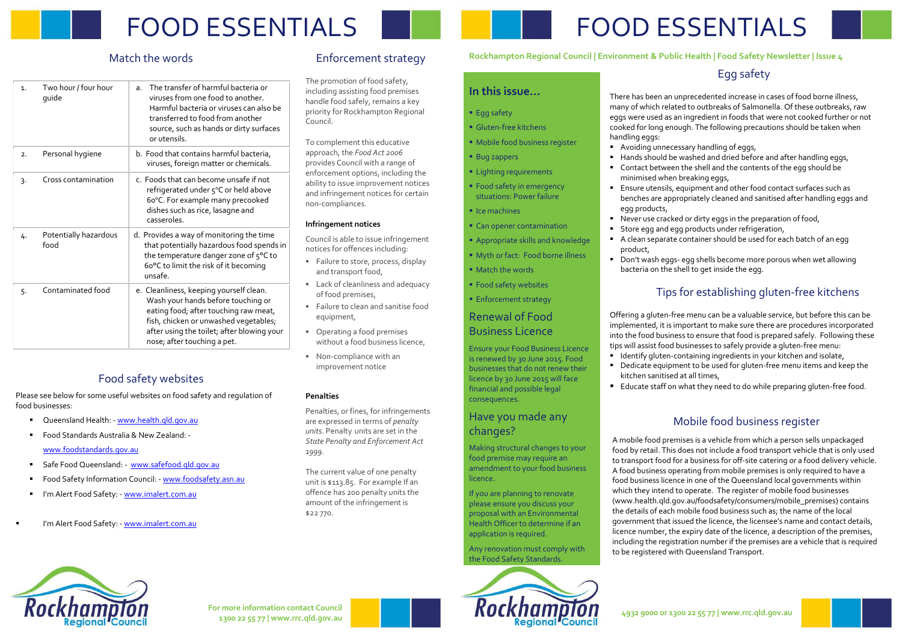# FOOD ESSENTIALS

# FOOD ESSENTIALS

# Match the words

| Match the words |                               |                                                                                                                                                                                                                                              | Enf                                                                                                                                                                      |
|-----------------|-------------------------------|----------------------------------------------------------------------------------------------------------------------------------------------------------------------------------------------------------------------------------------------|--------------------------------------------------------------------------------------------------------------------------------------------------------------------------|
| $\mathbf{1}$ .  | Two hour / four hour<br>guide | The transfer of harmful bacteria or<br>a.<br>viruses from one food to another.<br>Harmful bacteria or viruses can also be<br>transferred to food from another<br>source, such as hands or dirty surfaces<br>or utensils.                     | The pro<br>includin<br>handle f<br>priority<br>Council.<br>To com                                                                                                        |
| 2.              | Personal hygiene              | b. Food that contains harmful bacteria,<br>viruses, foreign matter or chemicals.                                                                                                                                                             | approad<br>provide<br>enforce<br>ability to<br>and infr<br>non-cor<br>Infringe<br>Council<br>notices<br>Failu<br>and t<br>Lack<br>of fo<br>Failu<br>equi<br>Oper<br>with |
| 3.              | Cross contamination           | c. Foods that can become unsafe if not<br>refrigerated under 5°C or held above<br>60°C. For example many precooked<br>dishes such as rice, lasagne and<br>casseroles.                                                                        |                                                                                                                                                                          |
| 4.              | Potentially hazardous<br>food | d. Provides a way of monitoring the time<br>that potentially hazardous food spends in<br>the temperature danger zone of 5°C to<br>60°C to limit the risk of it becoming<br>unsafe.                                                           |                                                                                                                                                                          |
| 5.              | Contaminated food             | e. Cleanliness, keeping yourself clean.<br>Wash your hands before touching or<br>eating food; after touching raw meat,<br>fish, chicken or unwashed vegetables;<br>after using the toilet; after blowing your<br>nose; after touching a pet. |                                                                                                                                                                          |

- Failure to store, process, display and transport food,
- **Lack of cleanliness and adequacy** of food premises,
- Failure to clean and sanitise food equipment,
- **•** Operating a food premises without a food business licence,
- Non-compliance with an improvement notice

# Enforcement strategy

The promotion of food safety, including assisting food premises handle food safely, remains a key priority for Rockhampton Regional Council.

To complement this educative approach, the *Food Act 2006* provides Council with a range of enforcement options, including the ability to issue improvement notices and infringement notices for certain non-compliances.

## **Infringement notices**

Council is able to issue infringement notices for offences including:

## **Penalties**

Penalties, or fines, for infringements are expressed in terms of *penalty units*. Penalty units are set in the *State Penalty and Enforcement Act 1999.*

- **Avoiding unnecessary handling of eggs,** 
	- Ensure utensils, equipment and other food contact surfaces such as benches are appropriately cleaned and sanitised after handling eggs and
- **Store egg and egg products under refrigeration,**
- A clean separate container should be used for each batch of an egg
- 
- Hands should be washed and dried before and after handling eggs, ■ Contact between the shell and the contents of the egg should be minimised when breaking eggs,
- egg products,
- Never use cracked or dirty eggs in the preparation of food,
- 
- product,

- 
- 
- 

The current value of one penalty unit is \$113.85. For example If an offence has 200 penalty units the amount of the infringement is \$22 770.

- Offering a gluten-free menu can be a valuable service, but before this can be implemented, it is important to make sure there are procedures incorporated into the food business to ensure that food is prepared safely. Following these tips will assist food businesses to safely provide a gluten-free menu:
- **I** Identify gluten-containing ingredients in your kitchen and isolate,
- Dedicate equipment to be used for gluten-free menu items and keep the kitchen sanitised at all times,
- Educate staff on what they need to do while preparing gluten-free food.

## **In this issue…**

- **Egg safety**
- Gluten-free kitchens
- **Mobile food business register**
- **Bug zappers**
- **ELighting requirements**
- **Food safety in emergency** situations: Power failure
- $I$  Ice machines
- Can opener contamination
- Appropriate skills and knowledge
- **Myth or fact: Food borne illness**
- **Match the words**
- **Food safety websites**
- **Enforcement strategy**

## Renewal of Food Business Licence

- Oueensland Health: [www.health.qld.gov.au](http://www.health.qld.gov.au/)
- Food Standards Australia & New Zealand: -

Ensure your Food Business Licence is renewed by 30 June 2015. Food businesses that do not renew their licence by 30 June 2015 will face financial and possible legal consequences.

# Have you made any changes?

Making structural changes to your

food premise may require an amendment to your food business licence.

If you are planning to renovate please ensure you discuss your proposal with an Environmental Health Officer to determine if an application is required.

Any renovation must comply with

the Food Safety Standards.

# Egg safety

There has been an unprecedented increase in cases of food borne illness, many of which related to outbreaks of Salmonella. Of these outbreaks, raw eggs were used as an ingredient in foods that were not cooked further or not cooked for long enough. The following precautions should be taken when

handling eggs:

 Don't wash eggs- egg shells become more porous when wet allowing bacteria on the shell to get inside the egg.

# Tips for establishing gluten-free kitchens

**For more information contact Council**





## **Rockhampton Regional Council | Environment & Public Health | Food Safety Newsletter | Issue 4**

# Food safety websites

Please see below for some useful websites on food safety and regulation of food businesses:

[www.foodstandards.gov.au](http://www.foodstandards.gov.au/)

- Safe Food Queensland: - [www.safefood.qld.gov.au](http://www.safefood.qld.gov.au/)
- Food Safety Information Council: [www.foodsafety.asn.au](http://www.foodsafety.asn.au/)
- I'm Alert Food Safety: [www.imalert.com.au](http://www.imalert.com.au/)
- I'm Alert Food Safety: [www.imalert.com.au](http://www.imalert.com.au/)

## Mobile food business register

A mobile food premises is a vehicle from which a person sells unpackaged food by retail. This does not include a food transport vehicle that is only used to transport food for a business for off-site catering or a food delivery vehicle. A food business operating from mobile premises is only required to have a food business licence in one of the Queensland local governments within which they intend to operate.The register of mobile food businesses (www.health.qld.gov.au/foodsafety/consumers/mobile\_premises) contains the details of each mobile food business such as; the name of the local government that issued the licence, the licensee's name and contact details, licence number, the expiry date of the licence, a description of the premises, including the registration number if the premises are a vehicle that is required to be registered with Queensland Transport.